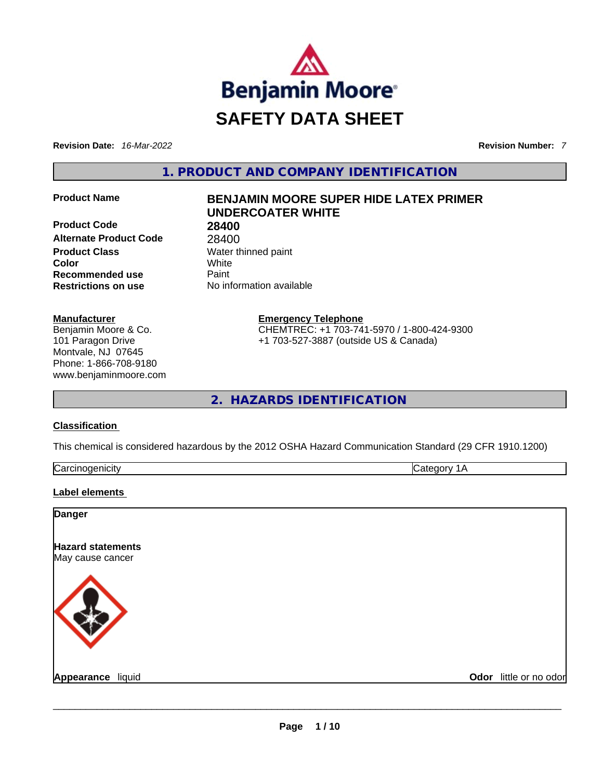

**Revision Date:** *16-Mar-2022* **Revision Number:** *7*

**1. PRODUCT AND COMPANY IDENTIFICATION** 

**Product Code 28400 Alternate Product Code** 28400 **Product Class Water thinned paint Color** White **Recommended use** Paint **Restrictions on use** No information available

## **Manufacturer**

Benjamin Moore & Co. 101 Paragon Drive Montvale, NJ 07645 Phone: 1-866-708-9180 www.benjaminmoore.com

# **Product Name BENJAMIN MOORE SUPER HIDE LATEX PRIMER UNDERCOATER WHITE**

**Emergency Telephone** CHEMTREC: +1 703-741-5970 / 1-800-424-9300 +1 703-527-3887 (outside US & Canada)

**2. HAZARDS IDENTIFICATION** 

# **Classification**

This chemical is considered hazardous by the 2012 OSHA Hazard Communication Standard (29 CFR 1910.1200)

| lCar<br>. |  |
|-----------|--|
|           |  |

# **Label elements**

| <b>Danger</b>                                |                        |
|----------------------------------------------|------------------------|
| <b>Hazard statements</b><br>May cause cancer |                        |
|                                              |                        |
| Appearance liquid                            | Odor little or no odor |
|                                              |                        |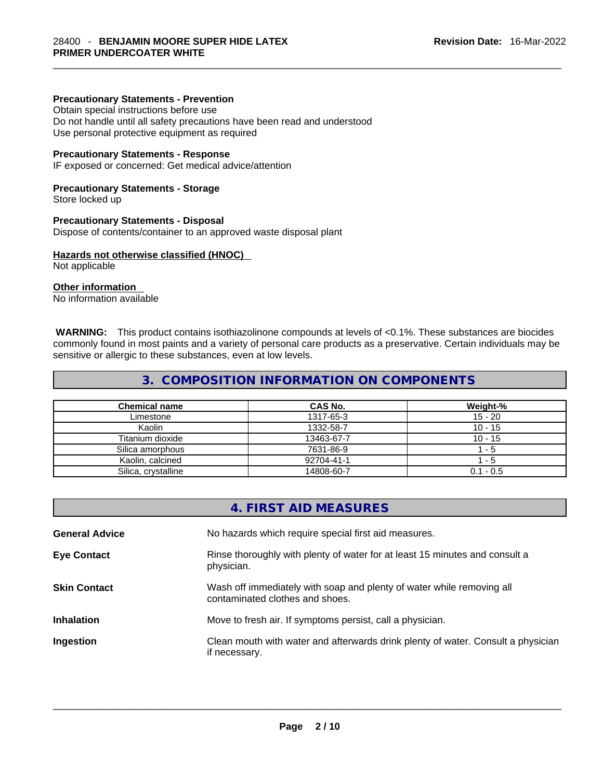#### **Precautionary Statements - Prevention**

Obtain special instructions before use

Do not handle until all safety precautions have been read and understood Use personal protective equipment as required

#### **Precautionary Statements - Response**

IF exposed or concerned: Get medical advice/attention

#### **Precautionary Statements - Storage**

Store locked up

#### **Precautionary Statements - Disposal**

Dispose of contents/container to an approved waste disposal plant

## **Hazards not otherwise classified (HNOC)**

Not applicable

# **Other information**

No information available

**WARNING:** This product contains isothiazolinone compounds at levels of <0.1%. These substances are biocides commonly found in most paints and a variety of personal care products as a preservative. Certain individuals may be sensitive or allergic to these substances, even at low levels.

# **3. COMPOSITION INFORMATION ON COMPONENTS**

| <b>Chemical name</b> | CAS No.    | Weight-%    |
|----------------------|------------|-------------|
| Limestone            | 1317-65-3  | $15 - 20$   |
| Kaolin               | 1332-58-7  | $10 - 15$   |
| Titanium dioxide     | 13463-67-7 | $10 - 15$   |
| Silica amorphous     | 7631-86-9  | - 5         |
| Kaolin, calcined     | 92704-41-1 | - 5         |
| Silica, crystalline  | 14808-60-7 | $0.1 - 0.5$ |

|                       | 4. FIRST AID MEASURES                                                                                    |
|-----------------------|----------------------------------------------------------------------------------------------------------|
| <b>General Advice</b> | No hazards which require special first aid measures.                                                     |
| <b>Eye Contact</b>    | Rinse thoroughly with plenty of water for at least 15 minutes and consult a<br>physician.                |
| <b>Skin Contact</b>   | Wash off immediately with soap and plenty of water while removing all<br>contaminated clothes and shoes. |
| <b>Inhalation</b>     | Move to fresh air. If symptoms persist, call a physician.                                                |
| Ingestion             | Clean mouth with water and afterwards drink plenty of water. Consult a physician<br>if necessary.        |
|                       |                                                                                                          |
|                       |                                                                                                          |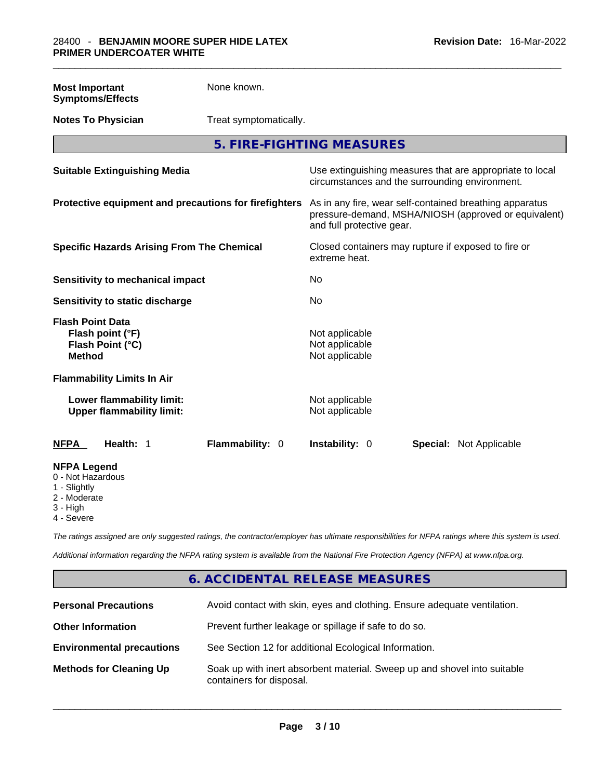| <b>Most Important</b><br><b>Symptoms/Effects</b>                                 | None known.                                           |                                                                                                                                              |  |
|----------------------------------------------------------------------------------|-------------------------------------------------------|----------------------------------------------------------------------------------------------------------------------------------------------|--|
| <b>Notes To Physician</b>                                                        |                                                       | Treat symptomatically.                                                                                                                       |  |
|                                                                                  |                                                       | 5. FIRE-FIGHTING MEASURES                                                                                                                    |  |
| <b>Suitable Extinguishing Media</b>                                              |                                                       | Use extinguishing measures that are appropriate to local<br>circumstances and the surrounding environment.                                   |  |
|                                                                                  | Protective equipment and precautions for firefighters | As in any fire, wear self-contained breathing apparatus<br>pressure-demand, MSHA/NIOSH (approved or equivalent)<br>and full protective gear. |  |
|                                                                                  | <b>Specific Hazards Arising From The Chemical</b>     | Closed containers may rupture if exposed to fire or<br>extreme heat.                                                                         |  |
| Sensitivity to mechanical impact                                                 |                                                       | No                                                                                                                                           |  |
| Sensitivity to static discharge                                                  |                                                       | No                                                                                                                                           |  |
| <b>Flash Point Data</b><br>Flash point (°F)<br>Flash Point (°C)<br><b>Method</b> |                                                       | Not applicable<br>Not applicable<br>Not applicable                                                                                           |  |
| <b>Flammability Limits In Air</b>                                                |                                                       |                                                                                                                                              |  |
| Lower flammability limit:<br><b>Upper flammability limit:</b>                    |                                                       | Not applicable<br>Not applicable                                                                                                             |  |
| Health: 1<br><b>NFPA</b>                                                         | Flammability: 0                                       | Instability: 0<br><b>Special: Not Applicable</b>                                                                                             |  |
| <b>NFPA Legend</b><br>0 - Not Hazardous<br>1 - Slightly                          |                                                       |                                                                                                                                              |  |

- 
- 2 Moderate
- 3 High
- 4 Severe

*The ratings assigned are only suggested ratings, the contractor/employer has ultimate responsibilities for NFPA ratings where this system is used.* 

*Additional information regarding the NFPA rating system is available from the National Fire Protection Agency (NFPA) at www.nfpa.org.* 

# **6. ACCIDENTAL RELEASE MEASURES**

| <b>Personal Precautions</b>      | Avoid contact with skin, eyes and clothing. Ensure adequate ventilation.                             |
|----------------------------------|------------------------------------------------------------------------------------------------------|
| <b>Other Information</b>         | Prevent further leakage or spillage if safe to do so.                                                |
| <b>Environmental precautions</b> | See Section 12 for additional Ecological Information.                                                |
| <b>Methods for Cleaning Up</b>   | Soak up with inert absorbent material. Sweep up and shovel into suitable<br>containers for disposal. |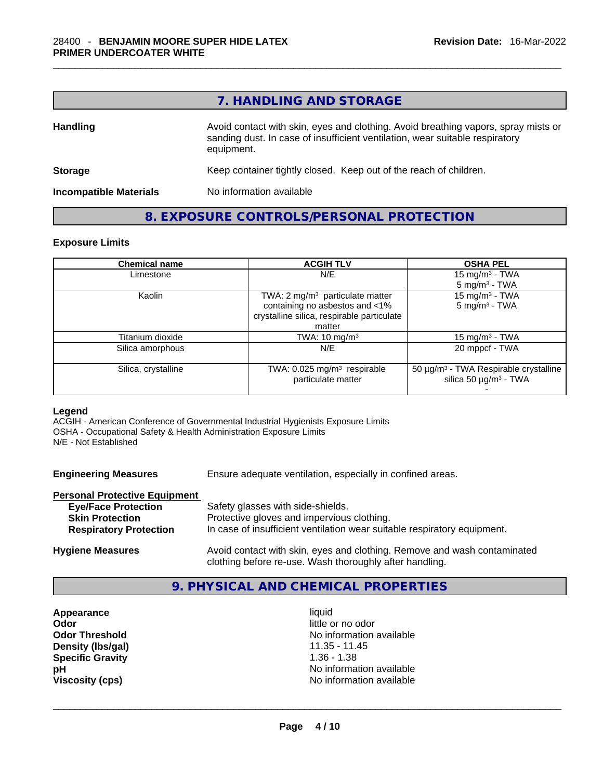# **7. HANDLING AND STORAGE**

| <b>Handling</b>               | Avoid contact with skin, eyes and clothing. Avoid breathing vapors, spray mists or<br>sanding dust. In case of insufficient ventilation, wear suitable respiratory<br>equipment. |  |
|-------------------------------|----------------------------------------------------------------------------------------------------------------------------------------------------------------------------------|--|
| <b>Storage</b>                | Keep container tightly closed. Keep out of the reach of children.                                                                                                                |  |
| <b>Incompatible Materials</b> | No information available                                                                                                                                                         |  |

# **8. EXPOSURE CONTROLS/PERSONAL PROTECTION**

#### **Exposure Limits**

| <b>Chemical name</b> | <b>ACGIH TLV</b>                                              | <b>OSHA PEL</b>                                                                             |
|----------------------|---------------------------------------------------------------|---------------------------------------------------------------------------------------------|
| Limestone            | N/E                                                           | 15 mg/m <sup>3</sup> - TWA                                                                  |
|                      |                                                               | $5 \text{ mg/m}^3$ - TWA                                                                    |
| Kaolin               | TWA: 2 mg/m <sup>3</sup> particulate matter                   | 15 mg/m <sup>3</sup> - TWA                                                                  |
|                      | containing no asbestos and <1%                                | $5 \text{ mg/m}^3$ - TWA                                                                    |
|                      | crystalline silica, respirable particulate                    |                                                                                             |
|                      | matter                                                        |                                                                                             |
| Titanium dioxide     | TWA: $10 \text{ mg/m}^3$                                      | 15 mg/m <sup>3</sup> - TWA                                                                  |
| Silica amorphous     | N/E                                                           | 20 mppcf - TWA                                                                              |
| Silica, crystalline  | TWA: 0.025 mg/m <sup>3</sup> respirable<br>particulate matter | 50 µg/m <sup>3</sup> - TWA Respirable crystalline<br>silica 50 $\mu$ g/m <sup>3</sup> - TWA |
|                      |                                                               |                                                                                             |

#### **Legend**

ACGIH - American Conference of Governmental Industrial Hygienists Exposure Limits OSHA - Occupational Safety & Health Administration Exposure Limits N/E - Not Established

**Engineering Measures** Ensure adequate ventilation, especially in confined areas.

#### **Personal Protective Equipment**

| <b>Eye/Face Protection</b>    | Safety glasses with side-shields.                                                                                                   |
|-------------------------------|-------------------------------------------------------------------------------------------------------------------------------------|
| <b>Skin Protection</b>        | Protective gloves and impervious clothing.                                                                                          |
| <b>Respiratory Protection</b> | In case of insufficient ventilation wear suitable respiratory equipment.                                                            |
| <b>Hygiene Measures</b>       | Avoid contact with skin, eyes and clothing. Remove and wash contaminated<br>clothing before re-use. Wash thoroughly after handling. |

# **9. PHYSICAL AND CHEMICAL PROPERTIES**

**Appearance** liquid **Odor Odor Odor Odor Odor Odor** *little or no odor little or no odor little or no odor* **Density (lbs/gal)** 11.35 - 11.45 **Specific Gravity** 1.36 - 1.38

**Odor Threshold** No information available **pH pH No** information available **Viscosity (cps)** No information available \_\_\_\_\_\_\_\_\_\_\_\_\_\_\_\_\_\_\_\_\_\_\_\_\_\_\_\_\_\_\_\_\_\_\_\_\_\_\_\_\_\_\_\_\_\_\_\_\_\_\_\_\_\_\_\_\_\_\_\_\_\_\_\_\_\_\_\_\_\_\_\_\_\_\_\_\_\_\_\_\_\_\_\_\_\_\_\_\_\_\_\_\_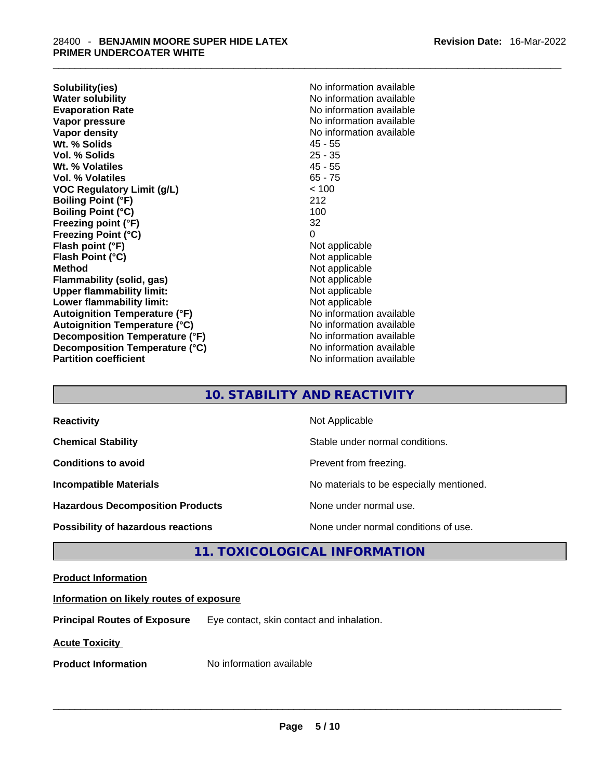**Solubility(ies)** No information available **Water solubility 19 and 19 and 19 and 19 and 19 and 19 and 19 and 19 and 19 and 19 and 19 and 19 and 19 and 19 and 19 and 19 and 19 and 19 and 19 and 19 and 19 and 19 and 19 and 19 and 19 and 19 and 19 and 19 and 19 and 1 Vapor pressure**  No information available **Vapor pressure No information available Vapor density No information available No information available Wt. % Solids** 45 - 55 **Vol. % Solids Wt. % Volatiles** 45 - 55 **Vol. % Volatiles** 65 - 75 **VOC Regulatory Limit (g/L)** < 100 **Boiling Point (°F)** 212<br> **Boiling Point (°C)** 212 **Boiling Point (°C) Freezing point (°F)** 32 **Freezing Point (°C)** 0 **Flash point (°F)** Not applicable **Flash Point (°C)** Not applicable **Method Not applicable**<br> **Plammability (solid, gas)** Not applicable **Not applicable Flammability** (solid, gas) **Upper flammability limit:** Not applicable **Lower flammability limit:**<br> **Autoignition Temperature (°F)**<br>
Mo information available **Autoignition Temperature (°F) Autoignition Temperature (°C)** No information available **Decomposition Temperature (°F)** No information available **Decomposition Temperature (°C)** No information available **Partition coefficient** No information available

**Evaporation Rate** No information available

# **10. STABILITY AND REACTIVITY**

| <b>Reactivity</b>                         | Not Applicable                           |
|-------------------------------------------|------------------------------------------|
| <b>Chemical Stability</b>                 | Stable under normal conditions.          |
| <b>Conditions to avoid</b>                | Prevent from freezing.                   |
| <b>Incompatible Materials</b>             | No materials to be especially mentioned. |
| <b>Hazardous Decomposition Products</b>   | None under normal use.                   |
| <b>Possibility of hazardous reactions</b> | None under normal conditions of use.     |

# **11. TOXICOLOGICAL INFORMATION**

# **Product Information**

## **Information on likely routes of exposure**

**Principal Routes of Exposure** Eye contact, skin contact and inhalation.

**Acute Toxicity** 

**Product Information** Mo information available **and the set of the set of the set of the set of the set of the set of the set of the set of the set of the set of the set of the set of the set of the set of the set of the s**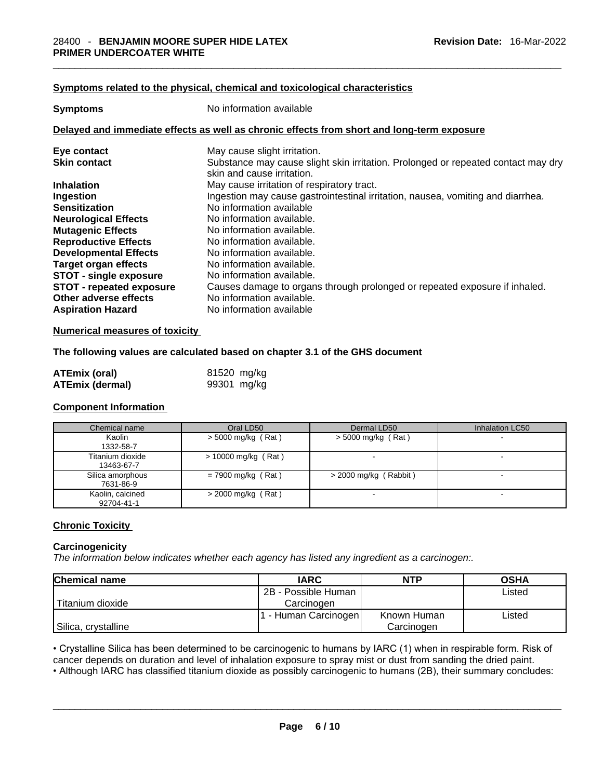## **Symptoms related to the physical,chemical and toxicological characteristics**

**Symptoms** No information available

## **Delayed and immediate effects as well as chronic effects from short and long-term exposure**

| Eye contact                                                                          | May cause slight irritation.                                                                                                        |
|--------------------------------------------------------------------------------------|-------------------------------------------------------------------------------------------------------------------------------------|
| <b>Skin contact</b>                                                                  | Substance may cause slight skin irritation. Prolonged or repeated contact may dry<br>skin and cause irritation.                     |
| <b>Inhalation</b>                                                                    | May cause irritation of respiratory tract.                                                                                          |
| Ingestion                                                                            | Ingestion may cause gastrointestinal irritation, nausea, vomiting and diarrhea.                                                     |
| <b>Sensitization</b>                                                                 | No information available                                                                                                            |
| <b>Neurological Effects</b>                                                          | No information available.                                                                                                           |
| <b>Mutagenic Effects</b>                                                             | No information available.                                                                                                           |
| <b>Reproductive Effects</b>                                                          | No information available.                                                                                                           |
| <b>Developmental Effects</b>                                                         | No information available.                                                                                                           |
| Target organ effects                                                                 | No information available.                                                                                                           |
| <b>STOT - single exposure</b>                                                        | No information available.                                                                                                           |
| <b>STOT - repeated exposure</b><br>Other adverse effects<br><b>Aspiration Hazard</b> | Causes damage to organs through prolonged or repeated exposure if inhaled.<br>No information available.<br>No information available |
|                                                                                      |                                                                                                                                     |

## **Numerical measures of toxicity**

## **The following values are calculated based on chapter 3.1 of the GHS document**

| ATEmix (oral)          | 81520 mg/kg |
|------------------------|-------------|
| <b>ATEmix (dermal)</b> | 99301 mg/kg |

#### **Component Information**

| Chemical name                  | Oral LD50             | Dermal LD50             | Inhalation LC50          |
|--------------------------------|-----------------------|-------------------------|--------------------------|
| Kaolin<br>1332-58-7            | $>$ 5000 mg/kg (Rat)  | $>$ 5000 mg/kg (Rat)    | $\overline{\phantom{0}}$ |
| Titanium dioxide<br>13463-67-7 | $> 10000$ mg/kg (Rat) |                         | $\overline{\phantom{0}}$ |
| Silica amorphous<br>7631-86-9  | $= 7900$ mg/kg (Rat)  | $>$ 2000 mg/kg (Rabbit) |                          |
| Kaolin, calcined<br>92704-41-1 | $>$ 2000 mg/kg (Rat)  |                         |                          |

## **Chronic Toxicity**

## **Carcinogenicity**

*The information below indicates whether each agency has listed any ingredient as a carcinogen:.* 

| <b>Chemical name</b> | <b>IARC</b>          | <b>NTP</b>  | <b>OSHA</b> |
|----------------------|----------------------|-------------|-------------|
|                      | 2B - Possible Human  |             | Listed      |
| Titanium dioxide     | Carcinogen           |             |             |
|                      | . - Human Carcinogen | Known Human | Listed      |
| Silica, crystalline  |                      | Carcinogen  |             |

• Crystalline Silica has been determined to be carcinogenic to humans by IARC (1) when in respirable form. Risk of cancer depends on duration and level of inhalation exposure to spray mist or dust from sanding the dried paint.

• Although IARC has classified titanium dioxide as possibly carcinogenic to humans (2B), their summary concludes: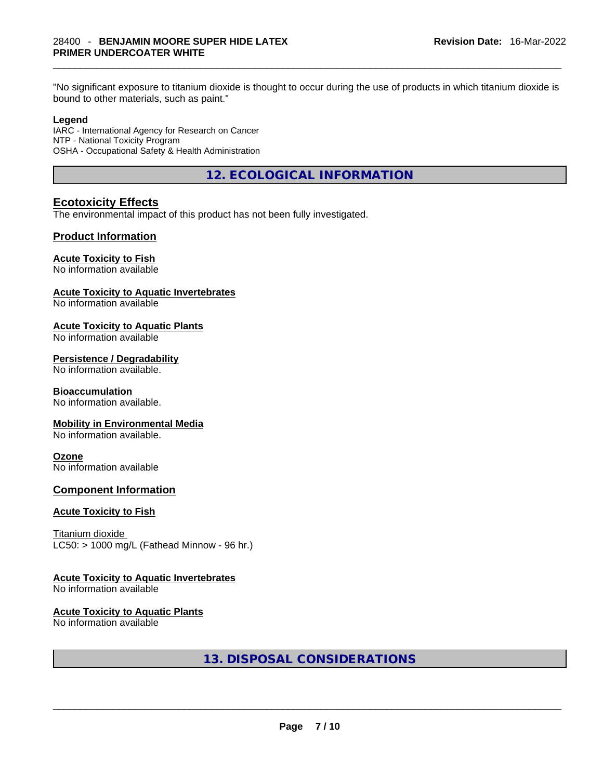**Revision Date:** 16-Mar-2022 "No significant exposure to titanium dioxide is thought to occur during the use of products in which titanium dioxide is bound to other materials, such as paint."

## **Legend**

IARC - International Agency for Research on Cancer NTP - National Toxicity Program OSHA - Occupational Safety & Health Administration

**12. ECOLOGICAL INFORMATION** 

# **Ecotoxicity Effects**

The environmental impact of this product has not been fully investigated.

## **Product Information**

# **Acute Toxicity to Fish**

No information available

#### **Acute Toxicity to Aquatic Invertebrates**

No information available

#### **Acute Toxicity to Aquatic Plants**

No information available

#### **Persistence / Degradability**

No information available.

#### **Bioaccumulation**

No information available.

#### **Mobility in Environmental Media**

No information available.

#### **Ozone**

No information available

## **Component Information**

#### **Acute Toxicity to Fish**

Titanium dioxide  $LC50:$  > 1000 mg/L (Fathead Minnow - 96 hr.)

#### **Acute Toxicity to Aquatic Invertebrates**

No information available

#### **Acute Toxicity to Aquatic Plants**

No information available

# **13. DISPOSAL CONSIDERATIONS**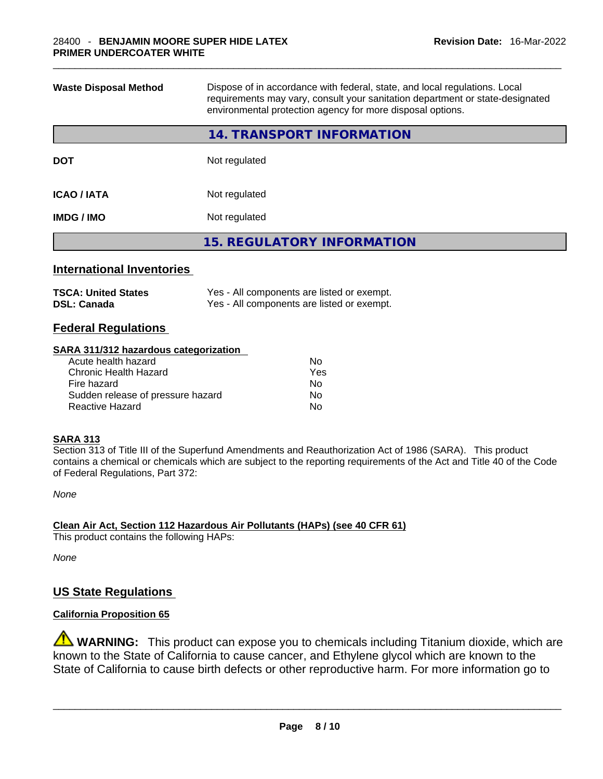| <b>Waste Disposal Method</b> | Dispose of in accordance with federal, state, and local regulations. Local<br>requirements may vary, consult your sanitation department or state-designated<br>environmental protection agency for more disposal options. |  |
|------------------------------|---------------------------------------------------------------------------------------------------------------------------------------------------------------------------------------------------------------------------|--|
|                              | <b>14. TRANSPORT INFORMATION</b>                                                                                                                                                                                          |  |
| <b>DOT</b>                   | Not regulated                                                                                                                                                                                                             |  |
| <b>ICAO / IATA</b>           | Not regulated                                                                                                                                                                                                             |  |
| <b>IMDG / IMO</b>            | Not regulated                                                                                                                                                                                                             |  |
|                              | <b>15. REGULATORY INFORMATION</b>                                                                                                                                                                                         |  |
|                              |                                                                                                                                                                                                                           |  |

# **International Inventories**

| <b>TSCA: United States</b> | Yes - All components are listed or exempt. |
|----------------------------|--------------------------------------------|
| <b>DSL: Canada</b>         | Yes - All components are listed or exempt. |

# **Federal Regulations**

# **SARA 311/312 hazardous categorization**

| Acute health hazard               | No. |
|-----------------------------------|-----|
| Chronic Health Hazard             | Yes |
| Fire hazard                       | No. |
| Sudden release of pressure hazard | No. |
| Reactive Hazard                   | N∩  |
|                                   |     |

# **SARA 313**

Section 313 of Title III of the Superfund Amendments and Reauthorization Act of 1986 (SARA). This product contains a chemical or chemicals which are subject to the reporting requirements of the Act and Title 40 of the Code of Federal Regulations, Part 372:

*None*

**Clean Air Act,Section 112 Hazardous Air Pollutants (HAPs) (see 40 CFR 61)** This product contains the following HAPs:

*None*

# **US State Regulations**

# **California Proposition 65**

**WARNING:** This product can expose you to chemicals including Titanium dioxide, which are known to the State of California to cause cancer, and Ethylene glycol which are known to the State of California to cause birth defects or other reproductive harm. For more information go to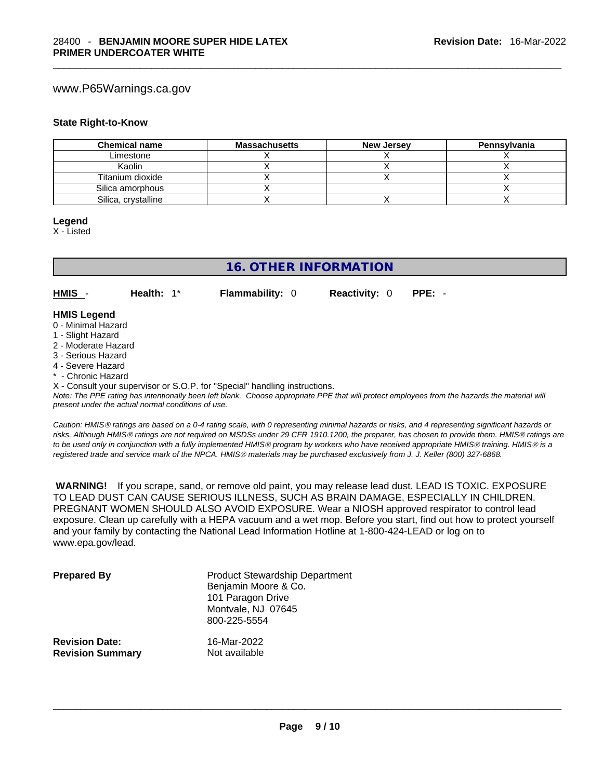# www.P65Warnings.ca.gov

#### **State Right-to-Know**

| <b>Chemical name</b> | <b>Massachusetts</b> | <b>New Jersey</b> | Pennsylvania |
|----------------------|----------------------|-------------------|--------------|
| Limestone            |                      |                   |              |
| Kaolin               |                      |                   |              |
| Titanium dioxide     |                      |                   |              |
| Silica amorphous     |                      |                   |              |
| Silica, crystalline  |                      |                   |              |

#### **Legend**

X - Listed

# **16. OTHER INFORMATION**

**HMIS** - **Health:** 1\* **Flammability:** 0 **Reactivity:** 0 **PPE:** -

# **HMIS Legend**

- 0 Minimal Hazard
- 1 Slight Hazard
- 2 Moderate Hazard
- 3 Serious Hazard
- 4 Severe Hazard
- \* Chronic Hazard

X - Consult your supervisor or S.O.P. for "Special" handling instructions.

Note: The PPE rating has intentionally been left blank. Choose appropriate PPE that will protect employees from the hazards the material will *present under the actual normal conditions of use.* 

*Caution: HMISÒ ratings are based on a 0-4 rating scale, with 0 representing minimal hazards or risks, and 4 representing significant hazards or risks. Although HMISÒ ratings are not required on MSDSs under 29 CFR 1910.1200, the preparer, has chosen to provide them. HMISÒ ratings are to be used only in conjunction with a fully implemented HMISÒ program by workers who have received appropriate HMISÒ training. HMISÒ is a registered trade and service mark of the NPCA. HMISÒ materials may be purchased exclusively from J. J. Keller (800) 327-6868.* 

 **WARNING!** If you scrape, sand, or remove old paint, you may release lead dust. LEAD IS TOXIC. EXPOSURE TO LEAD DUST CAN CAUSE SERIOUS ILLNESS, SUCH AS BRAIN DAMAGE, ESPECIALLY IN CHILDREN. PREGNANT WOMEN SHOULD ALSO AVOID EXPOSURE. Wear a NIOSH approved respirator to control lead exposure. Clean up carefully with a HEPA vacuum and a wet mop. Before you start, find out how to protect yourself and your family by contacting the National Lead Information Hotline at 1-800-424-LEAD or log on to www.epa.gov/lead.

| <b>Prepared By</b>      | <b>Product Stewardship Department</b><br>Benjamin Moore & Co.<br>101 Paragon Drive<br>Montvale, NJ 07645<br>800-225-5554 |
|-------------------------|--------------------------------------------------------------------------------------------------------------------------|
| <b>Revision Date:</b>   | 16-Mar-2022                                                                                                              |
| <b>Revision Summary</b> | Not available                                                                                                            |